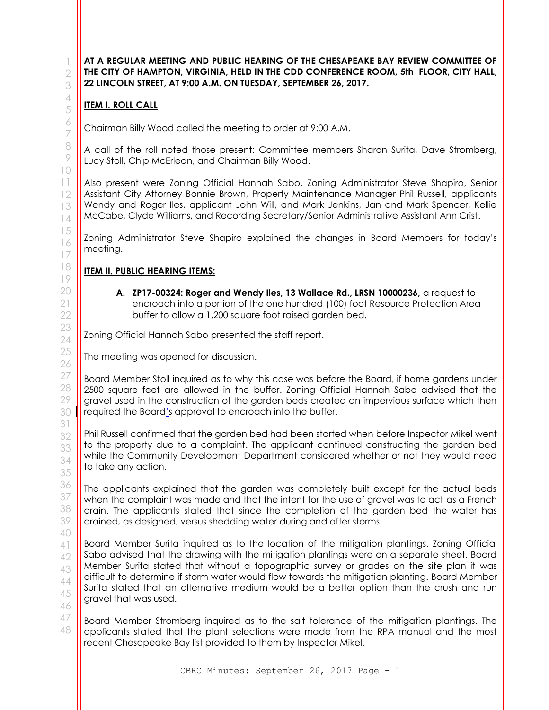**AT A REGULAR MEETING AND PUBLIC HEARING OF THE CHESAPEAKE BAY REVIEW COMMITTEE OF THE CITY OF HAMPTON, VIRGINIA, HELD IN THE CDD CONFERENCE ROOM, 5th FLOOR, CITY HALL, 22 LINCOLN STREET, AT 9:00 A.M. ON TUESDAY, SEPTEMBER 26, 2017.**

## **ITEM I. ROLL CALL**

Chairman Billy Wood called the meeting to order at 9:00 A.M.

A call of the roll noted those present: Committee members Sharon Surita, Dave Stromberg, Lucy Stoll, Chip McErlean, and Chairman Billy Wood.

Also present were Zoning Official Hannah Sabo, Zoning Administrator Steve Shapiro, Senior Assistant City Attorney Bonnie Brown, Property Maintenance Manager Phil Russell, applicants Wendy and Roger Iles, applicant John Will, and Mark Jenkins, Jan and Mark Spencer, Kellie McCabe, Clyde Williams, and Recording Secretary/Senior Administrative Assistant Ann Crist.

Zoning Administrator Steve Shapiro explained the changes in Board Members for today's meeting.

## **ITEM II. PUBLIC HEARING ITEMS:**

**A. ZP17-00324: Roger and Wendy Iles, 13 Wallace Rd., LRSN 10000236,** a request to encroach into a portion of the one hundred (100) foot Resource Protection Area buffer to allow a 1,200 square foot raised garden bed.

Zoning Official Hannah Sabo presented the staff report.

The meeting was opened for discussion.

Board Member Stoll inquired as to why this case was before the Board, if home gardens under 2500 square feet are allowed in the buffer. Zoning Official Hannah Sabo advised that the gravel used in the construction of the garden beds created an impervious surface which then required the Board's approval to encroach into the buffer.

Phil Russell confirmed that the garden bed had been started when before Inspector Mikel went to the property due to a complaint. The applicant continued constructing the garden bed while the Community Development Department considered whether or not they would need to take any action.

The applicants explained that the garden was completely built except for the actual beds when the complaint was made and that the intent for the use of gravel was to act as a French drain. The applicants stated that since the completion of the garden bed the water has drained, as designed, versus shedding water during and after storms.

Board Member Surita inquired as to the location of the mitigation plantings. Zoning Official Sabo advised that the drawing with the mitigation plantings were on a separate sheet. Board Member Surita stated that without a topographic survey or grades on the site plan it was difficult to determine if storm water would flow towards the mitigation planting. Board Member Surita stated that an alternative medium would be a better option than the crush and run gravel that was used.

Board Member Stromberg inquired as to the salt tolerance of the mitigation plantings. The applicants stated that the plant selections were made from the RPA manual and the most recent Chesapeake Bay list provided to them by Inspector Mikel.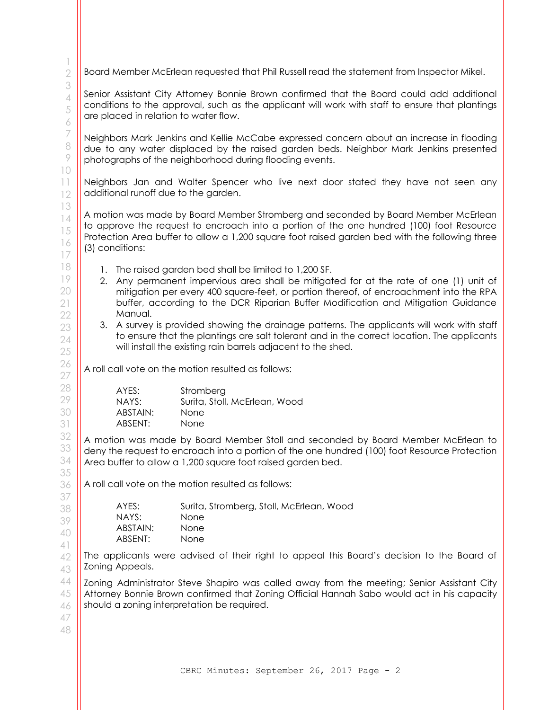Board Member McErlean requested that Phil Russell read the statement from Inspector Mikel.

Senior Assistant City Attorney Bonnie Brown confirmed that the Board could add additional conditions to the approval, such as the applicant will work with staff to ensure that plantings are placed in relation to water flow.

Neighbors Mark Jenkins and Kellie McCabe expressed concern about an increase in flooding due to any water displaced by the raised garden beds. Neighbor Mark Jenkins presented photographs of the neighborhood during flooding events.

Neighbors Jan and Walter Spencer who live next door stated they have not seen any additional runoff due to the garden.

A motion was made by Board Member Stromberg and seconded by Board Member McErlean to approve the request to encroach into a portion of the one hundred (100) foot Resource Protection Area buffer to allow a 1,200 square foot raised garden bed with the following three (3) conditions:

- 1. The raised garden bed shall be limited to 1,200 SF.
- 2. Any permanent impervious area shall be mitigated for at the rate of one (1) unit of mitigation per every 400 square-feet, or portion thereof, of encroachment into the RPA buffer, according to the DCR Riparian Buffer Modification and Mitigation Guidance Manual.
- 3. A survey is provided showing the drainage patterns. The applicants will work with staff to ensure that the plantings are salt tolerant and in the correct location. The applicants will install the existing rain barrels adjacent to the shed.

A roll call vote on the motion resulted as follows:

| AYES:    | Stromberg                     |
|----------|-------------------------------|
| NAYS:    | Surita, Stoll, McErlean, Wood |
| ABSTAIN: | <b>None</b>                   |
| ABSENT:  | <b>None</b>                   |

A motion was made by Board Member Stoll and seconded by Board Member McErlean to deny the request to encroach into a portion of the one hundred (100) foot Resource Protection Area buffer to allow a 1,200 square foot raised garden bed.

A roll call vote on the motion resulted as follows:

| AYES:    | Surita, Stromberg, Stoll, McErlean, Wood |
|----------|------------------------------------------|
| NAYS:    | None.                                    |
| ABSTAIN: | <b>None</b>                              |
| ABSENT:  | <b>None</b>                              |

The applicants were advised of their right to appeal this Board's decision to the Board of Zoning Appeals.

Zoning Administrator Steve Shapiro was called away from the meeting; Senior Assistant City Attorney Bonnie Brown confirmed that Zoning Official Hannah Sabo would act in his capacity should a zoning interpretation be required.